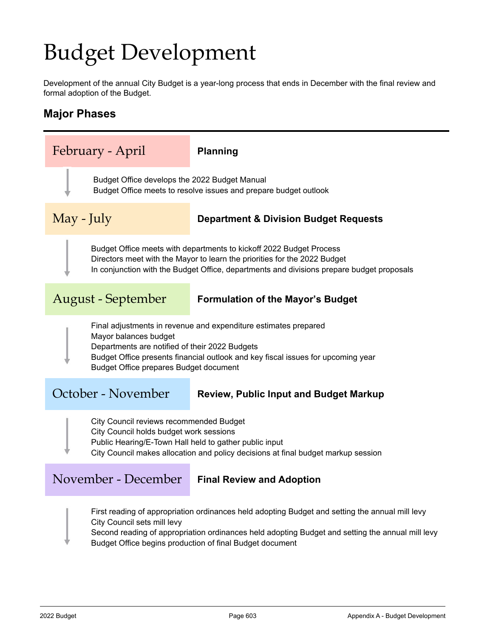# Budget Development

Development of the annual City Budget is a year-long process that ends in December with the final review and formal adoption of the Budget.

### **Major Phases**



Budget Office begins production of final Budget document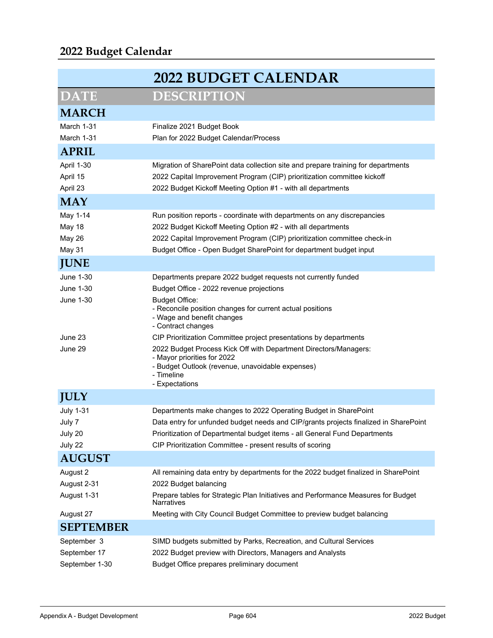## **2022 Budget Calendar**

|                  | <b>2022 BUDGET CALENDAR</b>                                                                                                                                                         |  |  |  |  |
|------------------|-------------------------------------------------------------------------------------------------------------------------------------------------------------------------------------|--|--|--|--|
| <b>DATE</b>      | <b>DESCRIPTION</b>                                                                                                                                                                  |  |  |  |  |
| <b>MARCH</b>     |                                                                                                                                                                                     |  |  |  |  |
| March 1-31       | Finalize 2021 Budget Book                                                                                                                                                           |  |  |  |  |
| March 1-31       | Plan for 2022 Budget Calendar/Process                                                                                                                                               |  |  |  |  |
| <b>APRIL</b>     |                                                                                                                                                                                     |  |  |  |  |
| April 1-30       | Migration of SharePoint data collection site and prepare training for departments                                                                                                   |  |  |  |  |
| April 15         | 2022 Capital Improvement Program (CIP) prioritization committee kickoff                                                                                                             |  |  |  |  |
| April 23         | 2022 Budget Kickoff Meeting Option #1 - with all departments                                                                                                                        |  |  |  |  |
| <b>MAY</b>       |                                                                                                                                                                                     |  |  |  |  |
| May 1-14         | Run position reports - coordinate with departments on any discrepancies                                                                                                             |  |  |  |  |
| May 18           | 2022 Budget Kickoff Meeting Option #2 - with all departments                                                                                                                        |  |  |  |  |
| May 26           | 2022 Capital Improvement Program (CIP) prioritization committee check-in                                                                                                            |  |  |  |  |
| May 31           | Budget Office - Open Budget SharePoint for department budget input                                                                                                                  |  |  |  |  |
| <b>JUNE</b>      |                                                                                                                                                                                     |  |  |  |  |
| <b>June 1-30</b> | Departments prepare 2022 budget requests not currently funded                                                                                                                       |  |  |  |  |
| <b>June 1-30</b> | Budget Office - 2022 revenue projections                                                                                                                                            |  |  |  |  |
| June 1-30        | <b>Budget Office:</b><br>- Reconcile position changes for current actual positions<br>- Wage and benefit changes<br>- Contract changes                                              |  |  |  |  |
| June 23          | CIP Prioritization Committee project presentations by departments                                                                                                                   |  |  |  |  |
| June 29          | 2022 Budget Process Kick Off with Department Directors/Managers:<br>- Mayor priorities for 2022<br>- Budget Outlook (revenue, unavoidable expenses)<br>- Timeline<br>- Expectations |  |  |  |  |
| <b>JULY</b>      |                                                                                                                                                                                     |  |  |  |  |
| <b>July 1-31</b> | Departments make changes to 2022 Operating Budget in SharePoint                                                                                                                     |  |  |  |  |
| July 7           | Data entry for unfunded budget needs and CIP/grants projects finalized in SharePoint                                                                                                |  |  |  |  |
| July 20          | Prioritization of Departmental budget items - all General Fund Departments                                                                                                          |  |  |  |  |
| July 22          | CIP Prioritization Committee - present results of scoring                                                                                                                           |  |  |  |  |
| <b>AUGUST</b>    |                                                                                                                                                                                     |  |  |  |  |
| August 2         | All remaining data entry by departments for the 2022 budget finalized in SharePoint                                                                                                 |  |  |  |  |
| August 2-31      | 2022 Budget balancing                                                                                                                                                               |  |  |  |  |
| August 1-31      | Prepare tables for Strategic Plan Initiatives and Performance Measures for Budget<br>Narratives                                                                                     |  |  |  |  |
| August 27        | Meeting with City Council Budget Committee to preview budget balancing                                                                                                              |  |  |  |  |
| <b>SEPTEMBER</b> |                                                                                                                                                                                     |  |  |  |  |
| September 3      | SIMD budgets submitted by Parks, Recreation, and Cultural Services                                                                                                                  |  |  |  |  |
| September 17     | 2022 Budget preview with Directors, Managers and Analysts                                                                                                                           |  |  |  |  |
| September 1-30   | Budget Office prepares preliminary document                                                                                                                                         |  |  |  |  |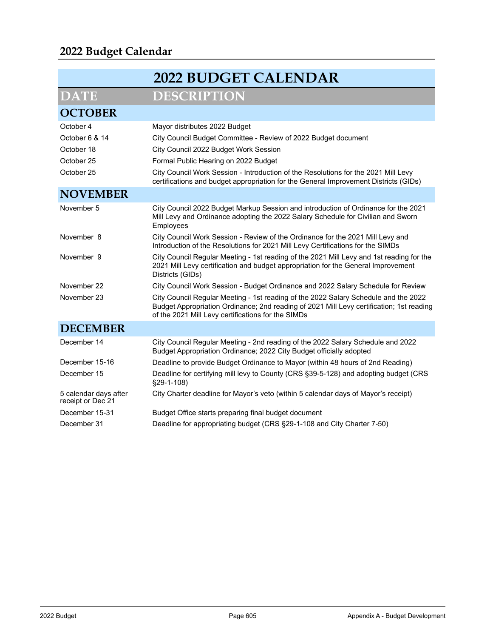## **2022 Budget Calendar**

|                                            | <b>2022 BUDGET CALENDAR</b>                                                                                                                                                                                                           |  |  |  |  |  |  |
|--------------------------------------------|---------------------------------------------------------------------------------------------------------------------------------------------------------------------------------------------------------------------------------------|--|--|--|--|--|--|
| <b>DATE</b>                                | <b>DESCRIPTION</b>                                                                                                                                                                                                                    |  |  |  |  |  |  |
| <b>OCTOBER</b>                             |                                                                                                                                                                                                                                       |  |  |  |  |  |  |
| October 4                                  | Mayor distributes 2022 Budget                                                                                                                                                                                                         |  |  |  |  |  |  |
| October 6 & 14                             | City Council Budget Committee - Review of 2022 Budget document                                                                                                                                                                        |  |  |  |  |  |  |
| October 18                                 | City Council 2022 Budget Work Session                                                                                                                                                                                                 |  |  |  |  |  |  |
| October 25                                 | Formal Public Hearing on 2022 Budget                                                                                                                                                                                                  |  |  |  |  |  |  |
| October 25                                 | City Council Work Session - Introduction of the Resolutions for the 2021 Mill Levy<br>certifications and budget appropriation for the General Improvement Districts (GIDs)                                                            |  |  |  |  |  |  |
| <b>NOVEMBER</b>                            |                                                                                                                                                                                                                                       |  |  |  |  |  |  |
| November 5                                 | City Council 2022 Budget Markup Session and introduction of Ordinance for the 2021<br>Mill Levy and Ordinance adopting the 2022 Salary Schedule for Civilian and Sworn<br>Employees                                                   |  |  |  |  |  |  |
| November 8                                 | City Council Work Session - Review of the Ordinance for the 2021 Mill Levy and<br>Introduction of the Resolutions for 2021 Mill Levy Certifications for the SIMDs                                                                     |  |  |  |  |  |  |
| November 9                                 | City Council Regular Meeting - 1st reading of the 2021 Mill Levy and 1st reading for the<br>2021 Mill Levy certification and budget appropriation for the General Improvement<br>Districts (GIDs)                                     |  |  |  |  |  |  |
| November 22                                | City Council Work Session - Budget Ordinance and 2022 Salary Schedule for Review                                                                                                                                                      |  |  |  |  |  |  |
| November 23                                | City Council Regular Meeting - 1st reading of the 2022 Salary Schedule and the 2022<br>Budget Appropriation Ordinance; 2nd reading of 2021 Mill Levy certification; 1st reading<br>of the 2021 Mill Levy certifications for the SIMDs |  |  |  |  |  |  |
| <b>DECEMBER</b>                            |                                                                                                                                                                                                                                       |  |  |  |  |  |  |
| December 14                                | City Council Regular Meeting - 2nd reading of the 2022 Salary Schedule and 2022<br>Budget Appropriation Ordinance; 2022 City Budget officially adopted                                                                                |  |  |  |  |  |  |
| December 15-16                             | Deadline to provide Budget Ordinance to Mayor (within 48 hours of 2nd Reading)                                                                                                                                                        |  |  |  |  |  |  |
| December 15                                | Deadline for certifying mill levy to County (CRS §39-5-128) and adopting budget (CRS<br>§29-1-108)                                                                                                                                    |  |  |  |  |  |  |
| 5 calendar days after<br>receipt or Dec 21 | City Charter deadline for Mayor's veto (within 5 calendar days of Mayor's receipt)                                                                                                                                                    |  |  |  |  |  |  |
| December 15-31                             | Budget Office starts preparing final budget document                                                                                                                                                                                  |  |  |  |  |  |  |
| December 31                                | Deadline for appropriating budget (CRS §29-1-108 and City Charter 7-50)                                                                                                                                                               |  |  |  |  |  |  |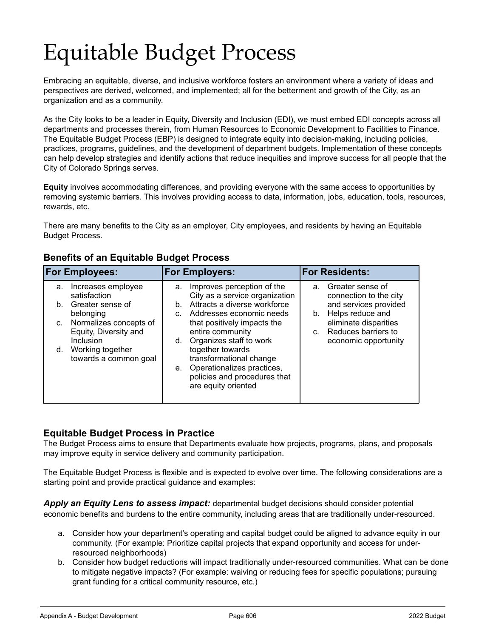# Equitable Budget Process

Embracing an equitable, diverse, and inclusive workforce fosters an environment where a variety of ideas and perspectives are derived, welcomed, and implemented; all for the betterment and growth of the City, as an organization and as a community.

As the City looks to be a leader in Equity, Diversity and Inclusion (EDI), we must embed EDI concepts across all departments and processes therein, from Human Resources to Economic Development to Facilities to Finance. The Equitable Budget Process (EBP) is designed to integrate equity into decision-making, including policies, practices, programs, guidelines, and the development of department budgets. Implementation of these concepts can help develop strategies and identify actions that reduce inequities and improve success for all people that the City of Colorado Springs serves.

**Equity** involves accommodating differences, and providing everyone with the same access to opportunities by removing systemic barriers. This involves providing access to data, information, jobs, education, tools, resources, rewards, etc.

There are many benefits to the City as an employer, City employees, and residents by having an Equitable Budget Process.

| <b>For Employees:</b> |                                                                                                              | <b>For Employers:</b> |                                                                                                                                                                                                                | <b>For Residents:</b> |                                                                      |  |  |  |  |
|-----------------------|--------------------------------------------------------------------------------------------------------------|-----------------------|----------------------------------------------------------------------------------------------------------------------------------------------------------------------------------------------------------------|-----------------------|----------------------------------------------------------------------|--|--|--|--|
| a.                    | Increases employee<br>satisfaction                                                                           | a.                    | Improves perception of the<br>City as a service organization                                                                                                                                                   |                       | a. Greater sense of<br>connection to the city                        |  |  |  |  |
| b.                    | Greater sense of<br>belonging                                                                                | b.                    | Attracts a diverse workforce<br>Addresses economic needs                                                                                                                                                       | b.                    | and services provided<br>Helps reduce and                            |  |  |  |  |
| d.                    | c. Normalizes concepts of<br>Equity, Diversity and<br>Inclusion<br>Working together<br>towards a common goal | d.<br>$e_{1}$         | that positively impacts the<br>entire community<br>Organizes staff to work<br>together towards<br>transformational change<br>Operationalizes practices,<br>policies and procedures that<br>are equity oriented | C.                    | eliminate disparities<br>Reduces barriers to<br>economic opportunity |  |  |  |  |

#### **Benefits of an Equitable Budget Process**

#### **Equitable Budget Process in Practice**

The Budget Process aims to ensure that Departments evaluate how projects, programs, plans, and proposals may improve equity in service delivery and community participation.

The Equitable Budget Process is flexible and is expected to evolve over time. The following considerations are a starting point and provide practical guidance and examples:

*Apply an Equity Lens to assess impact:* departmental budget decisions should consider potential economic benefits and burdens to the entire community, including areas that are traditionally under-resourced.

- a. Consider how your department's operating and capital budget could be aligned to advance equity in our community. (For example: Prioritize capital projects that expand opportunity and access for underresourced neighborhoods)
- b. Consider how budget reductions will impact traditionally under-resourced communities. What can be done to mitigate negative impacts? (For example: waiving or reducing fees for specific populations; pursuing grant funding for a critical community resource, etc.)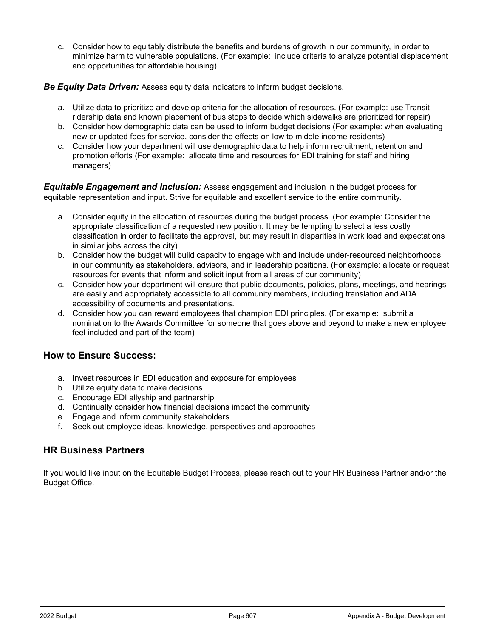c. Consider how to equitably distribute the benefits and burdens of growth in our community, in order to minimize harm to vulnerable populations. (For example: include criteria to analyze potential displacement and opportunities for affordable housing)

#### *Be Equity Data Driven:* Assess equity data indicators to inform budget decisions.

- a. Utilize data to prioritize and develop criteria for the allocation of resources. (For example: use Transit ridership data and known placement of bus stops to decide which sidewalks are prioritized for repair)
- b. Consider how demographic data can be used to inform budget decisions (For example: when evaluating new or updated fees for service, consider the effects on low to middle income residents)
- c. Consider how your department will use demographic data to help inform recruitment, retention and promotion efforts (For example: allocate time and resources for EDI training for staff and hiring managers)

*Equitable Engagement and Inclusion:* Assess engagement and inclusion in the budget process for equitable representation and input. Strive for equitable and excellent service to the entire community.

- a. Consider equity in the allocation of resources during the budget process. (For example: Consider the appropriate classification of a requested new position. It may be tempting to select a less costly classification in order to facilitate the approval, but may result in disparities in work load and expectations in similar jobs across the city)
- b. Consider how the budget will build capacity to engage with and include under-resourced neighborhoods in our community as stakeholders, advisors, and in leadership positions. (For example: allocate or request resources for events that inform and solicit input from all areas of our community)
- c. Consider how your department will ensure that public documents, policies, plans, meetings, and hearings are easily and appropriately accessible to all community members, including translation and ADA accessibility of documents and presentations.
- d. Consider how you can reward employees that champion EDI principles. (For example: submit a nomination to the Awards Committee for someone that goes above and beyond to make a new employee feel included and part of the team)

#### **How to Ensure Success:**

- a. Invest resources in EDI education and exposure for employees
- b. Utilize equity data to make decisions
- c. Encourage EDI allyship and partnership
- d. Continually consider how financial decisions impact the community
- e. Engage and inform community stakeholders
- f. Seek out employee ideas, knowledge, perspectives and approaches

#### **HR Business Partners**

If you would like input on the Equitable Budget Process, please reach out to your HR Business Partner and/or the Budget Office.